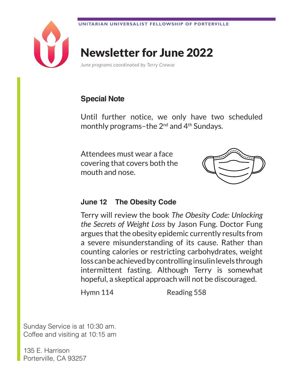

# Newsletter for June 2022

*June programs coordinated by Terry Crewse*

# **Special Note**

Until further notice, we only have two scheduled monthly programs–the  $2^{nd}$  and  $4^{th}$  Sundays.

Attendees must wear a face covering that covers both the mouth and nose.



### **June 12 The Obesity Code**

Terry will review the book *The Obesity Code: Unlocking the Secrets of Weight Loss* by Jason Fung. Doctor Fung argues that the obesity epidemic currently results from a severe misunderstanding of its cause. Rather than counting calories or restricting carbohydrates, weight loss can be achieved by controlling insulin levels through intermittent fasting. Although Terry is somewhat hopeful, a skeptical approach will not be discouraged.

Hymn 114 Reading 558

Sunday Service is at 10:30 am. Coffee and visiting at 10:15 am

135 E. Harrison Porterville, CA 93257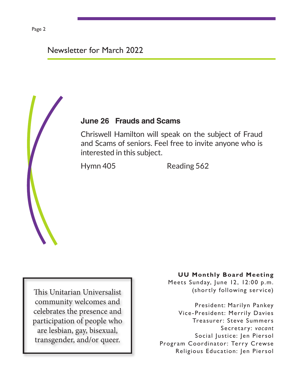# Newsletter for March 2022

### **June 26 Frauds and Scams**

Chriswell Hamilton will speak on the subject of Fraud and Scams of seniors. Feel free to invite anyone who is interested in this subject.

Hymn 405 Reading 562

This Unitarian Universalist community welcomes and celebrates the presence and participation of people who are lesbian, gay, bisexual, transgender, and/or queer.

#### **UU Monthly Board Meeting**

Meets Sunday, June 12, 12:00 p.m. (shortly following service)

President: Marilyn Pankey Vice-President: Merrily Davies Treasurer: Steve Summers Secretary: *vacant* Social Justice: Jen Piersol Program Coordinator: Terry Crewse Religious Education: Jen Piersol